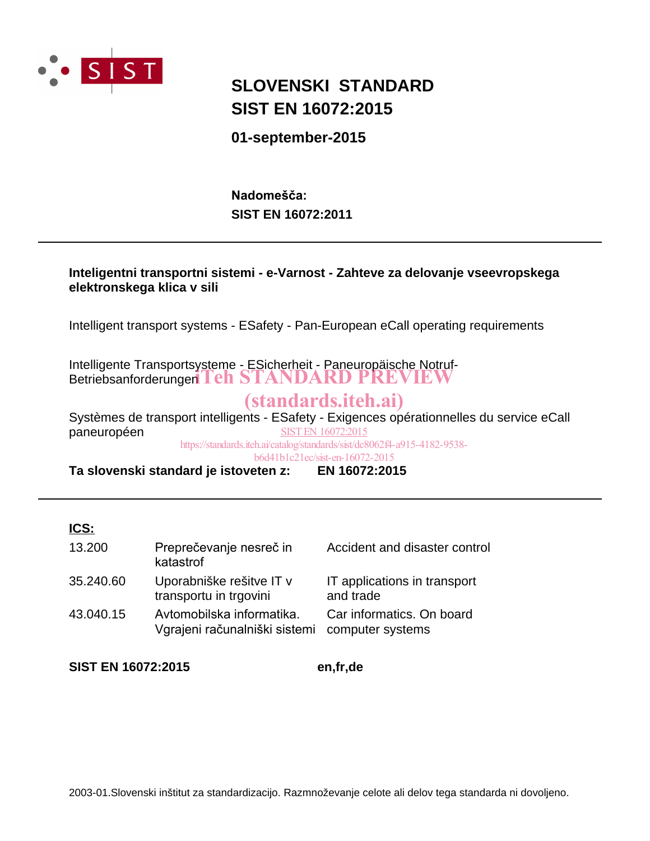

# **SIST EN 16072:2015 SLOVENSKI STANDARD**

**01-september-2015**

**SIST EN 16072:2011** Nadomešča:

## **Inteligentni transportni sistemi - e-Varnost - Zahteve za delovanje vseevropskega elektronskega klica v sili**

Intelligent transport systems - ESafety - Pan-European eCall operating requirements

Intelligente Transportsysteme - ESicherheit - Paneuropäische Notruf-Betriebsanforderungen Teh STANDARD PREVIEW

## (standards.iteh.ai)

Systèmes de transport intelligents - ESafety - Exigences opérationnelles du service eCall paneuropéen SIST EN 16072:2015

https://standards.iteh.ai/catalog/standards/sist/dc8062f4-a915-4182-9538-

b6d41b1c21ec/sist-en-16072-2015

**Ta slovenski standard je istoveten z: EN 16072:2015**

## **ICS:**

| 13.200    | Preprečevanje nesreč in<br>katastrof                       | Accident and disaster control                 |
|-----------|------------------------------------------------------------|-----------------------------------------------|
| 35.240.60 | Uporabniške rešitve IT v<br>transportu in trgovini         | IT applications in transport<br>and trade     |
| 43.040.15 | Avtomobilska informatika.<br>Vgrajeni računalniški sistemi | Car informatics. On board<br>computer systems |

**SIST EN 16072:2015 en,fr,de**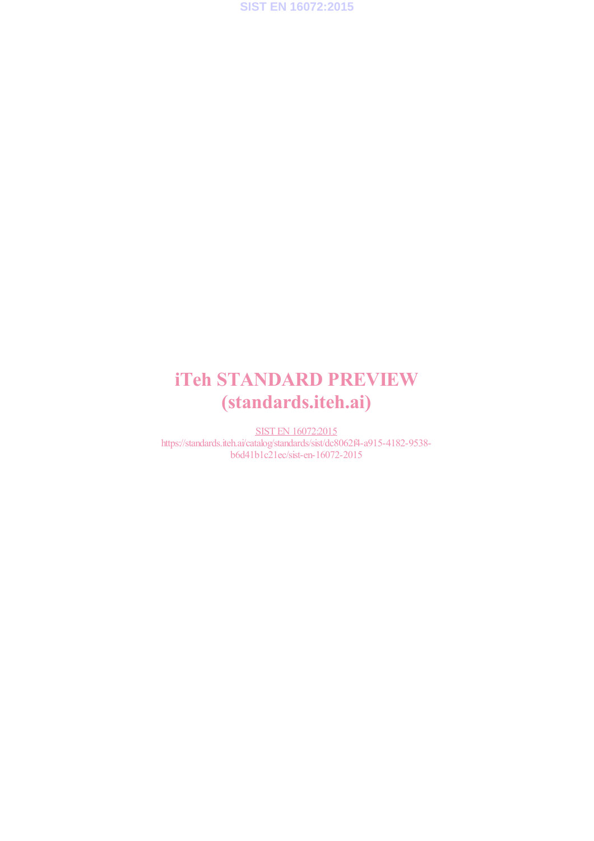

# iTeh STANDARD PREVIEW (standards.iteh.ai)

SIST EN 16072:2015 https://standards.iteh.ai/catalog/standards/sist/dc8062f4-a915-4182-9538 b6d41b1c21ec/sist-en-16072-2015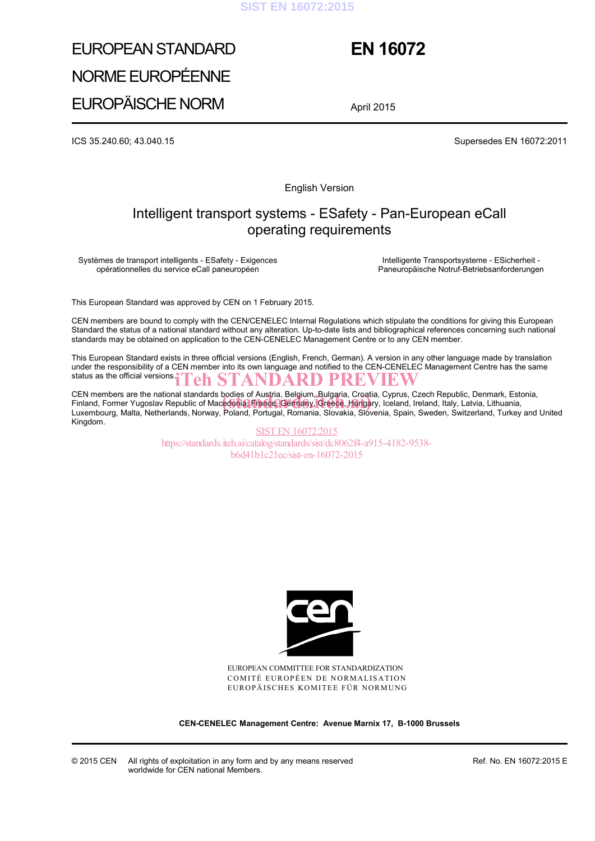#### **SIST EN 16072:2015**

# EUROPEAN STANDARD NORME EUROPÉENNE EUROPÄISCHE NORM

# **EN 16072**

April 2015

ICS 35.240.60; 43.040.15 Supersedes EN 16072:2011

English Version

## Intelligent transport systems - ESafety - Pan-European eCall operating requirements

Systèmes de transport intelligents - ESafety - Exigences opérationnelles du service eCall paneuropéen

 Intelligente Transportsysteme - ESicherheit - Paneuropäische Notruf-Betriebsanforderungen

This European Standard was approved by CEN on 1 February 2015.

CEN members are bound to comply with the CEN/CENELEC Internal Regulations which stipulate the conditions for giving this European Standard the status of a national standard without any alteration. Up-to-date lists and bibliographical references concerning such national standards may be obtained on application to the CEN-CENELEC Management Centre or to any CEN member.

This European Standard exists in three official versions (English, French, German). A version in any other language made by translation under the responsibility of a CEN member into its own language and notified to the CEN-CENELEC Management Centre has the same status as the official versions. Status as the official versions. Teh STANDARD PREVIEW EW

CEN members are the national standards bodies of Austria, Belgium, Bulgaria, Croatia, Cyprus, Czech Republic, Denmark, Esto<br>Finland, Former Yugoslav Republic of Macedonia, France, Germany, Greece, Hungary, Iceland, Ireland Luxembourg, Malta, Netherlands, Norway, Poland, Portugal, Romania, Slovakia, Slovenia, Spain, Sweden, Switzerland, Turkey and United Kingdom.

SIST EN 16072:2015 https://standards.iteh.ai/catalog/standards/sist/dc8062f4-a915-4182-9538 b6d41b1c21ec/sist-en-16072-2015



EUROPEAN COMMITTEE FOR STANDARDIZATION COMITÉ EUROPÉEN DE NORMALISATION EUROPÄISCHES KOMITEE FÜR NORMUNG

**CEN-CENELEC Management Centre: Avenue Marnix 17, B-1000 Brussels** 

Ref. No. EN 16072:2015 E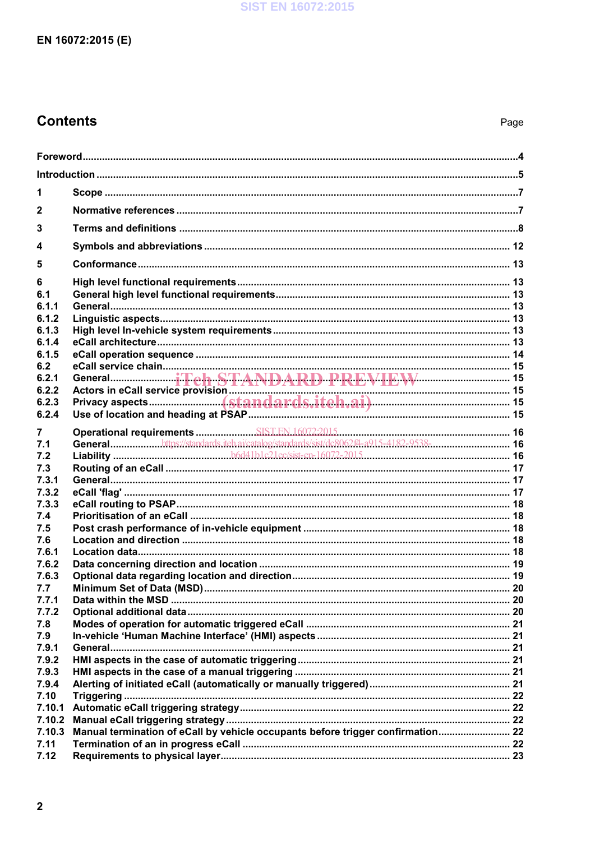## **Contents**

| 1              |                                                                                 |  |  |
|----------------|---------------------------------------------------------------------------------|--|--|
| $\mathbf{2}$   |                                                                                 |  |  |
| 3              |                                                                                 |  |  |
| 4              |                                                                                 |  |  |
| 5              |                                                                                 |  |  |
| 6              |                                                                                 |  |  |
| 6.1            |                                                                                 |  |  |
| 6.1.1          |                                                                                 |  |  |
| 6.1.2          |                                                                                 |  |  |
| 6.1.3          |                                                                                 |  |  |
| 6.1.4          |                                                                                 |  |  |
| 6.1.5          |                                                                                 |  |  |
| 6.2            |                                                                                 |  |  |
| 6.2.1          |                                                                                 |  |  |
| 6.2.2          |                                                                                 |  |  |
| 6.2.3          |                                                                                 |  |  |
| 6.2.4          |                                                                                 |  |  |
|                |                                                                                 |  |  |
| 7              |                                                                                 |  |  |
| 7.1            |                                                                                 |  |  |
| 7.2            |                                                                                 |  |  |
| 7.3<br>7.3.1   |                                                                                 |  |  |
|                |                                                                                 |  |  |
| 7.3.2          |                                                                                 |  |  |
| 7.3.3          |                                                                                 |  |  |
| 7.4            |                                                                                 |  |  |
| 7.5            |                                                                                 |  |  |
| 7.6            |                                                                                 |  |  |
| 7.6.1          |                                                                                 |  |  |
| 7.6.2          |                                                                                 |  |  |
| 7.6.3          |                                                                                 |  |  |
| 7.7            |                                                                                 |  |  |
| 7.7.1          |                                                                                 |  |  |
| 7.7.2          |                                                                                 |  |  |
| 7.8            |                                                                                 |  |  |
| 7.9<br>7.9.1   |                                                                                 |  |  |
| 7.9.2          |                                                                                 |  |  |
|                |                                                                                 |  |  |
| 7.9.3<br>7.9.4 |                                                                                 |  |  |
|                |                                                                                 |  |  |
| 7.10<br>7.10.1 |                                                                                 |  |  |
| 7.10.2         |                                                                                 |  |  |
| 7.10.3         | Manual termination of eCall by vehicle occupants before trigger confirmation 22 |  |  |
| 7.11           |                                                                                 |  |  |
| 7.12           |                                                                                 |  |  |
|                |                                                                                 |  |  |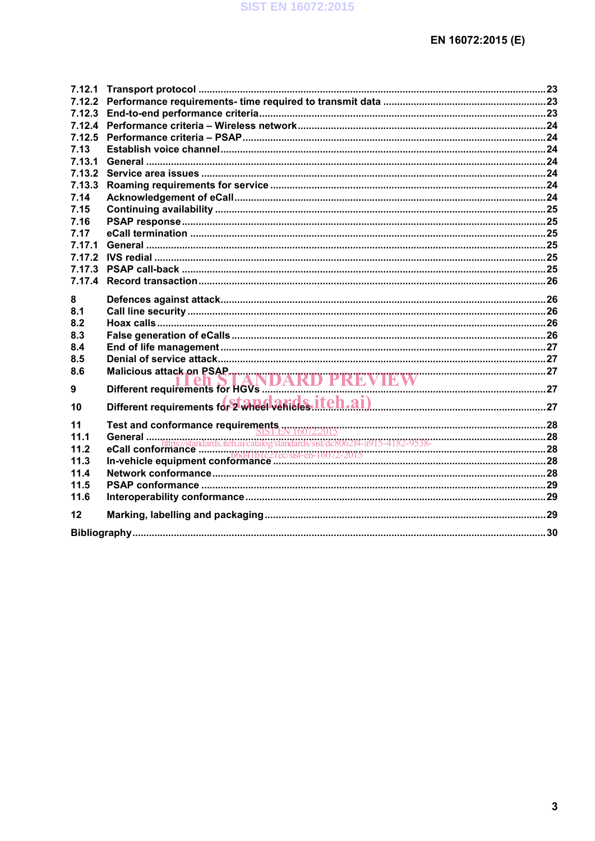| 7.12.1 |                                                         |  |
|--------|---------------------------------------------------------|--|
| 7.12.2 |                                                         |  |
| 7.12.3 |                                                         |  |
| 7.12.4 |                                                         |  |
| 7.12.5 |                                                         |  |
| 7.13   |                                                         |  |
| 7.13.1 |                                                         |  |
| 7.13.2 |                                                         |  |
| 7.13.3 |                                                         |  |
| 7.14   |                                                         |  |
| 7.15   |                                                         |  |
| 7.16   |                                                         |  |
| 7.17   |                                                         |  |
| 7.17.1 |                                                         |  |
| 7.17.2 |                                                         |  |
| 7.17.3 |                                                         |  |
| 7.17.4 |                                                         |  |
| 8      |                                                         |  |
| 8.1    |                                                         |  |
| 8.2    |                                                         |  |
| 8.3    |                                                         |  |
| 8.4    |                                                         |  |
| 8.5    |                                                         |  |
| 8.6    |                                                         |  |
|        |                                                         |  |
| 9      |                                                         |  |
| 10     | Different requirements for Ewhleel vehicles.itch.ai) 27 |  |
| 11     |                                                         |  |
| 11.1   |                                                         |  |
| 11.2   |                                                         |  |
| 11.3   |                                                         |  |
| 11.4   |                                                         |  |
| 11.5   |                                                         |  |
| 11.6   |                                                         |  |
|        |                                                         |  |
| 12     |                                                         |  |
|        |                                                         |  |
|        |                                                         |  |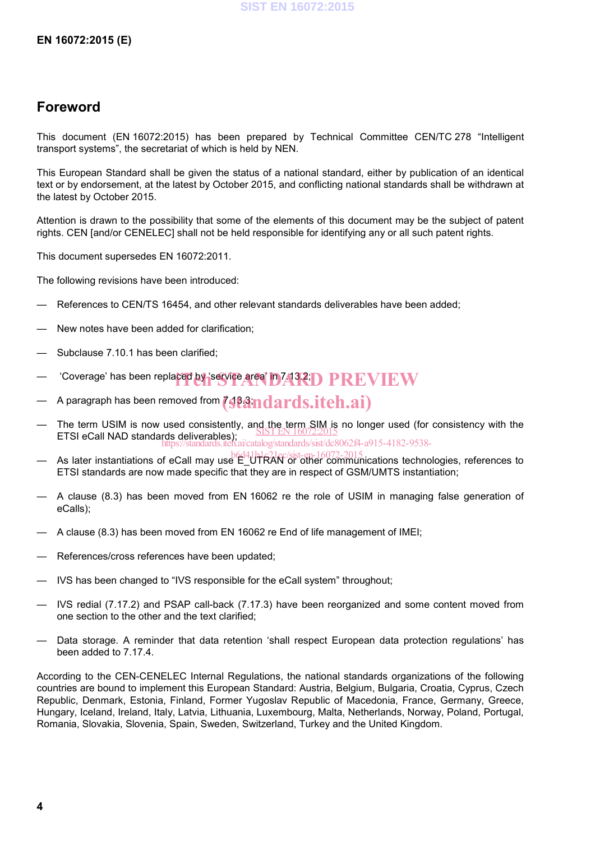## **Foreword**

This document (EN 16072:2015) has been prepared by Technical Committee CEN/TC 278 "Intelligent transport systems", the secretariat of which is held by NEN.

This European Standard shall be given the status of a national standard, either by publication of an identical text or by endorsement, at the latest by October 2015, and conflicting national standards shall be withdrawn at the latest by October 2015.

Attention is drawn to the possibility that some of the elements of this document may be the subject of patent rights. CEN [and/or CENELEC] shall not be held responsible for identifying any or all such patent rights.

This document supersedes EN 16072:2011.

The following revisions have been introduced:

- References to CEN/TS 16454, and other relevant standards deliverables have been added;
- New notes have been added for clarification:
- Subclause 7.10.1 has been clarified:
- $-$  'Coverage' has been replaced by service area' in 7432; D PREVIEW
- $-$  A paragraph has been removed from  $($ standards.iteh.ai)
- The term USIM is now used consistently, and the term SIM is no longer used (for consistency with the FTSI eQuilibration of the SISTEN 16072:2015 ETSI eCall NAD standards deliverables); /catalog/standards/sist/dc8062f4-a915-4182-9538-
- As later instantiations of eCall may use E\_UTRAN or other communications technologies, references to ETSI standards are now made specific that they are in respect of GSM/UMTS instantiation;
- A clause (8.3) has been moved from EN 16062 re the role of USIM in managing false generation of eCalls);
- A clause (8.3) has been moved from EN 16062 re End of life management of IMEI;
- References/cross references have been updated;
- IVS has been changed to "IVS responsible for the eCall system" throughout;
- IVS redial (7.17.2) and PSAP call-back (7.17.3) have been reorganized and some content moved from one section to the other and the text clarified;
- Data storage. A reminder that data retention 'shall respect European data protection regulations' has been added to 7.17.4.

According to the CEN-CENELEC Internal Regulations, the national standards organizations of the following countries are bound to implement this European Standard: Austria, Belgium, Bulgaria, Croatia, Cyprus, Czech Republic, Denmark, Estonia, Finland, Former Yugoslav Republic of Macedonia, France, Germany, Greece, Hungary, Iceland, Ireland, Italy, Latvia, Lithuania, Luxembourg, Malta, Netherlands, Norway, Poland, Portugal, Romania, Slovakia, Slovenia, Spain, Sweden, Switzerland, Turkey and the United Kingdom.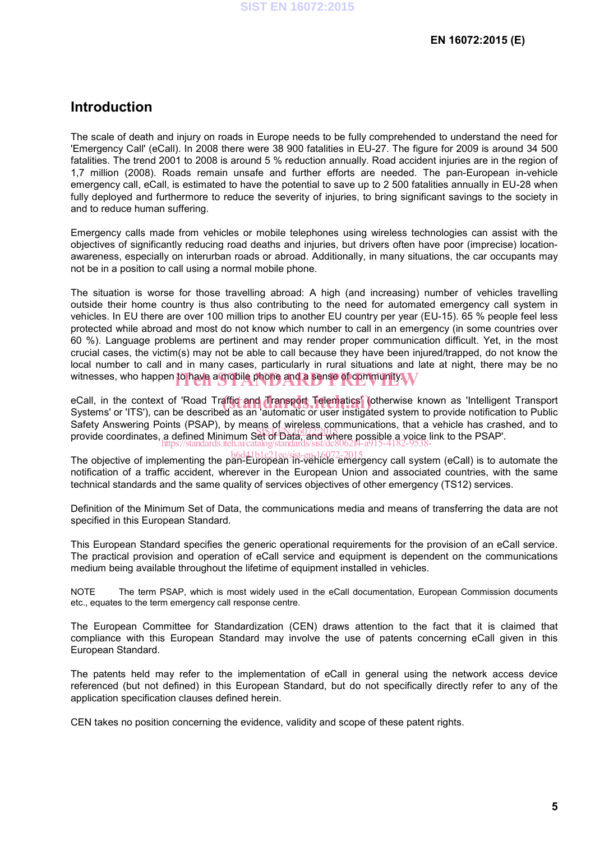## **Introduction**

The scale of death and injury on roads in Europe needs to be fully comprehended to understand the need for 'Emergency Call' (eCall). In 2008 there were 38 900 fatalities in EU-27. The figure for 2009 is around 34 500 fatalities. The trend 2001 to 2008 is around 5 % reduction annually. Road accident injuries are in the region of 1,7 million (2008). Roads remain unsafe and further efforts are needed. The pan-European in-vehicle emergency call, eCall, is estimated to have the potential to save up to 2 500 fatalities annually in EU-28 when fully deployed and furthermore to reduce the severity of injuries, to bring significant savings to the society in and to reduce human suffering.

Emergency calls made from vehicles or mobile telephones using wireless technologies can assist with the objectives of significantly reducing road deaths and injuries, but drivers often have poor (imprecise) locationawareness, especially on interurban roads or abroad. Additionally, in many situations, the car occupants may not be in a position to call using a normal mobile phone.

The situation is worse for those travelling abroad: A high (and increasing) number of vehicles travelling outside their home country is thus also contributing to the need for automated emergency call system in vehicles. In EU there are over 100 million trips to another EU country per year (EU-15). 65 % people feel less protected while abroad and most do not know which number to call in an emergency (in some countries over 60 %). Language problems are pertinent and may render proper communication difficult. Yet, in the most crucial cases, the victim(s) may not be able to call because they have been injured/trapped, do not know the local number to call and in many cases, particularly in rural situations and late at night, there may be no witnesses, who happen to have a mobile phone and a sense of community.

eCall, in the context of 'Road Traffic and Transport Telematics' (otherwise known as 'Intelligent Transport<br>Systems' or 'ITS'), can be described as an 'automatic or user instigated system to provide potification to Public Systems' or 'ITS'), can be described as an 'automatic or user instigated system to provide notification to Public Safety Answering Points (PSAP), by means of wireless communications, that a vehicle has crashed, and to provide coordinates, a defined Minimum Set of Data, and where possible a voice link to the PSAP'. https://standards.iteh.ai/catalog/standards/sist/dc8062f4-a915-4182-9538-

The objective of implementing the pan-European in-vehicle emergency call system (eCall) is to automate the notification of a traffic accident, wherever in the European Union and associated countries, with the same technical standards and the same quality of services objectives of other emergency (TS12) services.

Definition of the Minimum Set of Data, the communications media and means of transferring the data are not specified in this European Standard.

This European Standard specifies the generic operational requirements for the provision of an eCall service. The practical provision and operation of eCall service and equipment is dependent on the communications medium being available throughout the lifetime of equipment installed in vehicles.

NOTE The term PSAP, which is most widely used in the eCall documentation, European Commission documents etc., equates to the term emergency call response centre.

The European Committee for Standardization (CEN) draws attention to the fact that it is claimed that compliance with this European Standard may involve the use of patents concerning eCall given in this European Standard.

The patents held may refer to the implementation of eCall in general using the network access device referenced (but not defined) in this European Standard, but do not specifically directly refer to any of the application specification clauses defined herein.

CEN takes no position concerning the evidence, validity and scope of these patent rights.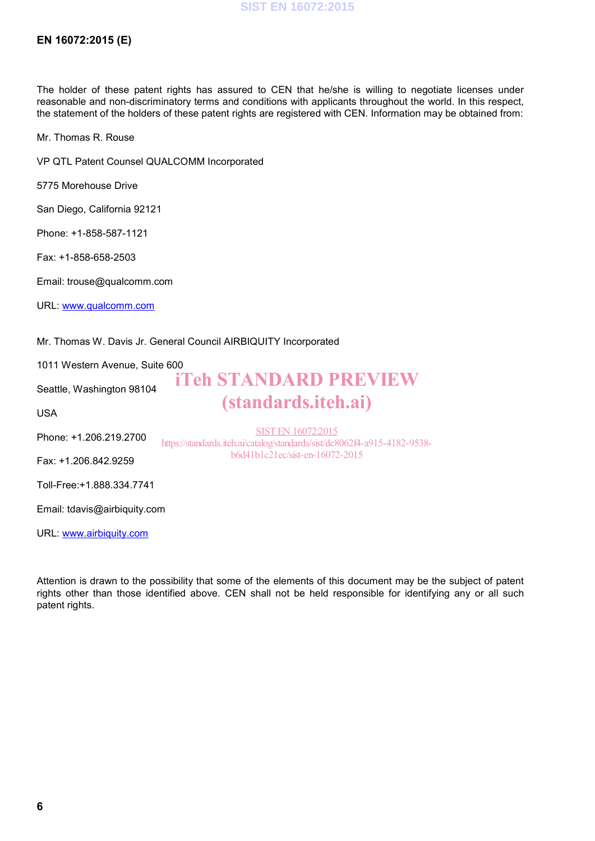**EN 16072:2015 (E)**

The holder of these patent rights has assured to CEN that he/she is willing to negotiate licenses under reasonable and non-discriminatory terms and conditions with applicants throughout the world. In this respect, the statement of the holders of these patent rights are registered with CEN. Information may be obtained from:

Mr. Thomas R. Rouse

VP QTL Patent Counsel QUALCOMM Incorporated

5775 Morehouse Drive

San Diego, California 92121

Phone: +1-858-587-1121

Fax: +1-858-658-2503

Email: trouse@qualcomm.com

URL: www.qualcomm.com

Mr. Thomas W. Davis Jr. General Council AIRBIQUITY Incorporated

1011 Western Avenue, Suite 600 iTeh STANDARD PREVIEW

Seattle, Washington 98104

USA

Phone: +1.206.219.2700

SIST EN 16072:2015 https://standards.iteh.ai/catalog/standards/sist/dc8062f4-a915-4182-9538 b6d41b1c21ec/sist-en-16072-2015

(standards.iteh.ai)

Fax: +1.206.842.9259

Toll-Free:+1.888.334.7741

Email: tdavis@airbiquity.com

URL: www.airbiquity.com

Attention is drawn to the possibility that some of the elements of this document may be the subject of patent rights other than those identified above. CEN shall not be held responsible for identifying any or all such patent rights.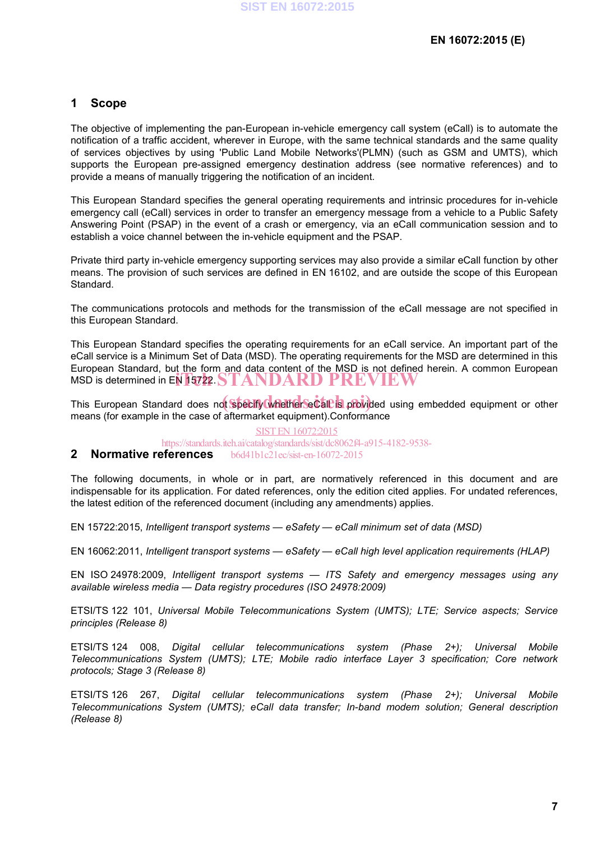#### **1 Scope**

The objective of implementing the pan-European in-vehicle emergency call system (eCall) is to automate the notification of a traffic accident, wherever in Europe, with the same technical standards and the same quality of services objectives by using 'Public Land Mobile Networks'(PLMN) (such as GSM and UMTS), which supports the European pre-assigned emergency destination address (see normative references) and to provide a means of manually triggering the notification of an incident.

This European Standard specifies the general operating requirements and intrinsic procedures for in-vehicle emergency call (eCall) services in order to transfer an emergency message from a vehicle to a Public Safety Answering Point (PSAP) in the event of a crash or emergency, via an eCall communication session and to establish a voice channel between the in-vehicle equipment and the PSAP.

Private third party in-vehicle emergency supporting services may also provide a similar eCall function by other means. The provision of such services are defined in EN 16102, and are outside the scope of this European Standard.

The communications protocols and methods for the transmission of the eCall message are not specified in this European Standard.

This European Standard specifies the operating requirements for an eCall service. An important part of the eCall service is a Minimum Set of Data (MSD). The operating requirements for the MSD are determined in this European Standard, but the form and data content of the MSD is not defined herein. A common European MSD is determined in EN 15722. STANDARD PREVIEW

This European Standard does not Specify whether Secal Pia provided using embedded equipment or other means (for example in the case of aftermarket equipment).Conformance

#### **2 Normative references** SIST EN 16072:2015 https://standards.iteh.ai/catalog/standards/sist/dc8062f4-a915-4182-9538 b6d41b1c21ec/sist-en-16072-2015

The following documents, in whole or in part, are normatively referenced in this document and are indispensable for its application. For dated references, only the edition cited applies. For undated references, the latest edition of the referenced document (including any amendments) applies.

EN 15722:2015, *Intelligent transport systems — eSafety — eCall minimum set of data (MSD)*

EN 16062:2011, *Intelligent transport systems — eSafety — eCall high level application requirements (HLAP)*

EN ISO 24978:2009, *Intelligent transport systems — ITS Safety and emergency messages using any available wireless media — Data registry procedures (ISO 24978:2009)*

ETSI/TS 122 101, *Universal Mobile Telecommunications System (UMTS); LTE; Service aspects; Service principles (Release 8)*

ETSI/TS 124 008, *Digital cellular telecommunications system (Phase 2+); Universal Mobile Telecommunications System (UMTS); LTE; Mobile radio interface Layer 3 specification; Core network protocols; Stage 3 (Release 8)*

ETSI/TS 126 267, *Digital cellular telecommunications system (Phase 2+); Universal Mobile Telecommunications System (UMTS); eCall data transfer; In-band modem solution; General description (Release 8)*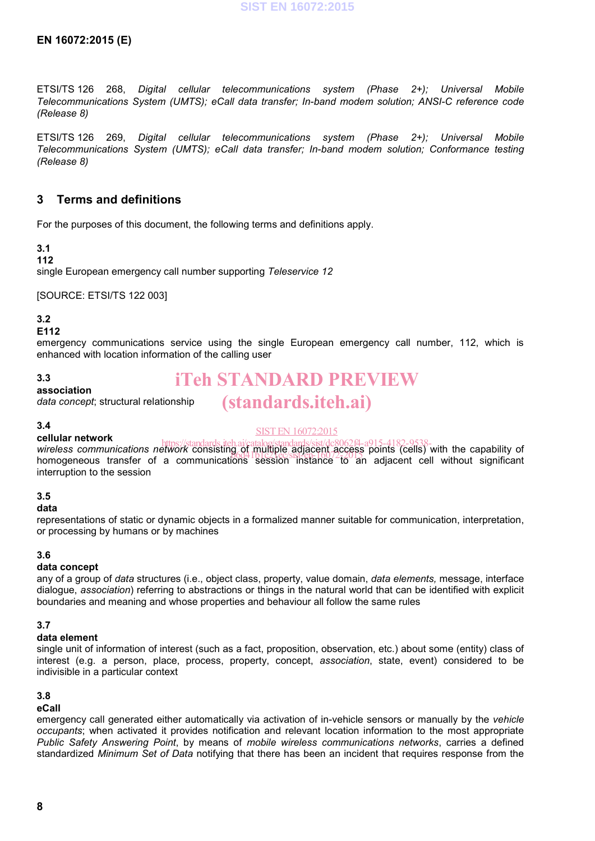### **EN 16072:2015 (E)**

ETSI/TS 126 268, *Digital cellular telecommunications system (Phase 2+); Universal Mobile Telecommunications System (UMTS); eCall data transfer; In-band modem solution; ANSI-C reference code (Release 8)*

ETSI/TS 126 269, *Digital cellular telecommunications system (Phase 2+); Universal Mobile Telecommunications System (UMTS); eCall data transfer; In-band modem solution; Conformance testing (Release 8)*

### **3 Terms and definitions**

For the purposes of this document, the following terms and definitions apply.

### **3.1**

**112**

single European emergency call number supporting *Teleservice 12* 

[SOURCE: ETSI/TS 122 003]

## **3.2**

#### **E112**

emergency communications service using the single European emergency call number, 112, which is enhanced with location information of the calling user

**3.3**

iTeh STANDARD PREVIEW

(standards.iteh.ai)

## *data concept*; structural relationship

**association**

#### **3.4**

#### **cellular network**

### SIST EN 16072:2015

**centual network**<br>wireless communications network consisting of multiple adjacent access points (cells) with the capability of wheress communications hetwork consisting of linguage adjacent Access points (cells) with the capability of homogeneous transfer of a communications session instance to an adjacent cell without significant interruption to the session

#### **3.5**

#### **data**

representations of static or dynamic objects in a formalized manner suitable for communication, interpretation, or processing by humans or by machines

#### **3.6**

#### **data concept**

any of a group of *data* structures (i.e., object class, property, value domain, *data elements,* message, interface dialogue, *association*) referring to abstractions or things in the natural world that can be identified with explicit boundaries and meaning and whose properties and behaviour all follow the same rules

#### **3.7**

#### **data element**

single unit of information of interest (such as a fact, proposition, observation, etc.) about some (entity) class of interest (e.g. a person, place, process, property, concept, *association*, state, event) considered to be indivisible in a particular context

#### **3.8**

#### **eCall**

emergency call generated either automatically via activation of in-vehicle sensors or manually by the *vehicle occupants*; when activated it provides notification and relevant location information to the most appropriate *Public Safety Answering Point*, by means of *mobile wireless communications networks*, carries a defined standardized *Minimum Set of Data* notifying that there has been an incident that requires response from the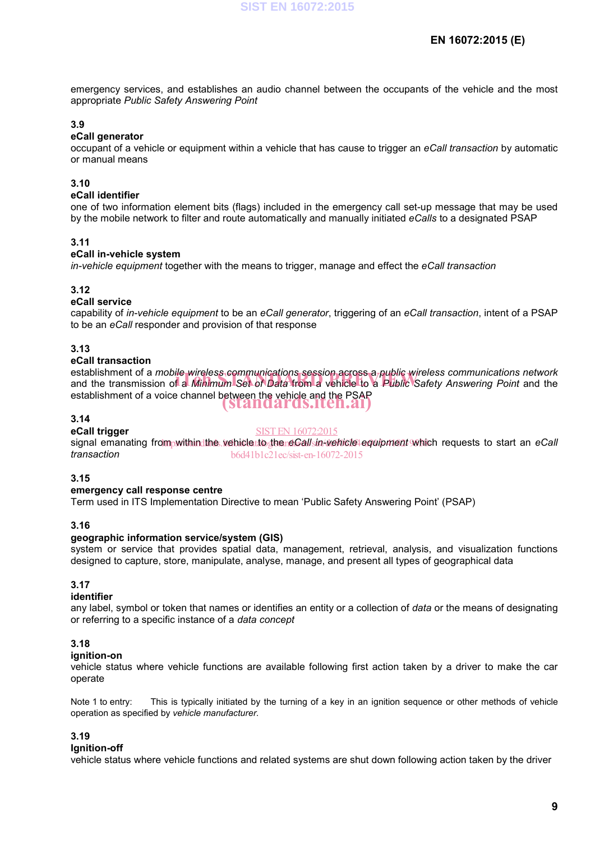**EN 16072:2015 (E)**

emergency services, and establishes an audio channel between the occupants of the vehicle and the most appropriate *Public Safety Answering Point*

#### **3.9**

#### **eCall generator**

occupant of a vehicle or equipment within a vehicle that has cause to trigger an *eCall transaction* by automatic or manual means

#### **3.10**

#### **eCall identifier**

one of two information element bits (flags) included in the emergency call set-up message that may be used by the mobile network to filter and route automatically and manually initiated *eCalls* to a designated PSAP

#### **3.11**

#### **eCall in-vehicle system**

*in-vehicle equipment* together with the means to trigger, manage and effect the *eCall transaction*

#### **3.12**

#### **eCall service**

capability of *in-vehicle equipment* to be an *eCall generator*, triggering of an *eCall transaction*, intent of a PSAP to be an *eCall* responder and provision of that response

#### **3.13**

#### **eCall transaction**

establishment of a *mobile wireless communications session* across a *public wireless communications network* establishment of a *mobile wireless communications session* across a *public wireless communications network*<br>and the transmission of a *Minimum Set of Data* from a vehicle to a *Public Safety Answering Point* and the establishment of a voice channel between the vehicle and the PSAP<br>
STAN QAYOS.ITCH.AI

#### **3.14**

#### **eCall trigger**

#### SIST EN 16072:2015

signal emanating from<sub>p</sub>withindthe vehicle to the reCall in vehicle equipment which requests to start an eCall *transaction* b6d41b1c21ec/sist-en-16072-2015

#### **3.15**

#### **emergency call response centre**

Term used in ITS Implementation Directive to mean 'Public Safety Answering Point' (PSAP)

#### **3.16**

#### **geographic information service/system (GIS)**

system or service that provides spatial data, management, retrieval, analysis, and visualization functions designed to capture, store, manipulate, analyse, manage, and present all types of geographical data

#### **3.17**

#### **identifier**

any label, symbol or token that names or identifies an entity or a collection of *data* or the means of designating or referring to a specific instance of a *data concept*

#### **3.18**

#### **ignition-on**

vehicle status where vehicle functions are available following first action taken by a driver to make the car operate

Note 1 to entry: This is typically initiated by the turning of a key in an ignition sequence or other methods of vehicle operation as specified by *vehicle manufacturer*.

#### **3.19**

#### **Ignition-off**

vehicle status where vehicle functions and related systems are shut down following action taken by the driver